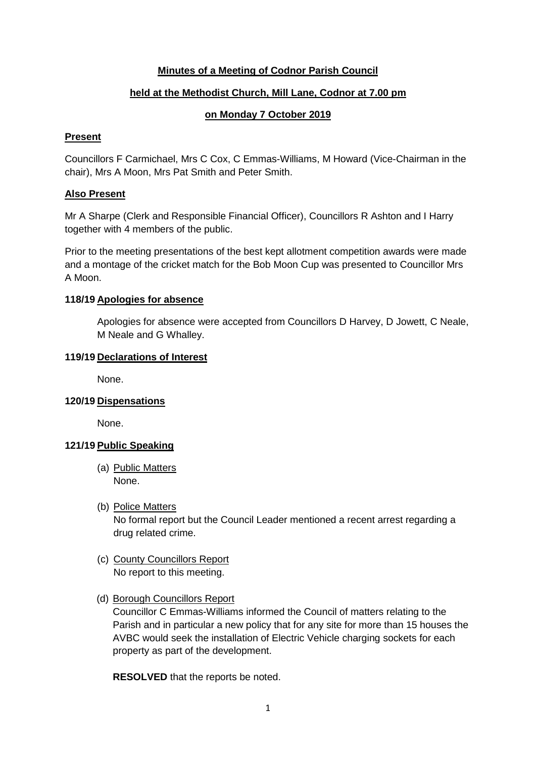# **Minutes of a Meeting of Codnor Parish Council**

# **held at the Methodist Church, Mill Lane, Codnor at 7.00 pm**

# **on Monday 7 October 2019**

## **Present**

Councillors F Carmichael, Mrs C Cox, C Emmas-Williams, M Howard (Vice-Chairman in the chair), Mrs A Moon, Mrs Pat Smith and Peter Smith.

# **Also Present**

Mr A Sharpe (Clerk and Responsible Financial Officer), Councillors R Ashton and I Harry together with 4 members of the public.

Prior to the meeting presentations of the best kept allotment competition awards were made and a montage of the cricket match for the Bob Moon Cup was presented to Councillor Mrs A Moon.

# **118/19 Apologies for absence**

Apologies for absence were accepted from Councillors D Harvey, D Jowett, C Neale, M Neale and G Whalley.

### **119/19 Declarations of Interest**

None.

# **120/19 Dispensations**

None.

# **121/19 Public Speaking**

- (a) Public Matters None.
- (b) Police Matters No formal report but the Council Leader mentioned a recent arrest regarding a drug related crime.
- (c) County Councillors Report No report to this meeting.
- (d) Borough Councillors Report

Councillor C Emmas-Williams informed the Council of matters relating to the Parish and in particular a new policy that for any site for more than 15 houses the AVBC would seek the installation of Electric Vehicle charging sockets for each property as part of the development.

**RESOLVED** that the reports be noted.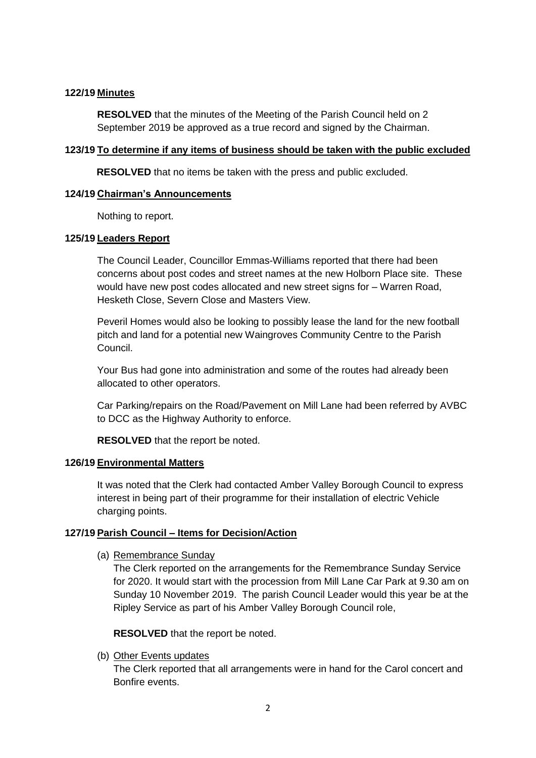# **122/19 Minutes**

**RESOLVED** that the minutes of the Meeting of the Parish Council held on 2 September 2019 be approved as a true record and signed by the Chairman.

## **123/19 To determine if any items of business should be taken with the public excluded**

**RESOLVED** that no items be taken with the press and public excluded.

#### **124/19 Chairman's Announcements**

Nothing to report.

### **125/19 Leaders Report**

The Council Leader, Councillor Emmas-Williams reported that there had been concerns about post codes and street names at the new Holborn Place site. These would have new post codes allocated and new street signs for – Warren Road, Hesketh Close, Severn Close and Masters View.

Peveril Homes would also be looking to possibly lease the land for the new football pitch and land for a potential new Waingroves Community Centre to the Parish Council.

Your Bus had gone into administration and some of the routes had already been allocated to other operators.

Car Parking/repairs on the Road/Pavement on Mill Lane had been referred by AVBC to DCC as the Highway Authority to enforce.

**RESOLVED** that the report be noted.

#### **126/19 Environmental Matters**

It was noted that the Clerk had contacted Amber Valley Borough Council to express interest in being part of their programme for their installation of electric Vehicle charging points.

# **127/19 Parish Council – Items for Decision/Action**

(a) Remembrance Sunday

The Clerk reported on the arrangements for the Remembrance Sunday Service for 2020. It would start with the procession from Mill Lane Car Park at 9.30 am on Sunday 10 November 2019. The parish Council Leader would this year be at the Ripley Service as part of his Amber Valley Borough Council role,

**RESOLVED** that the report be noted.

(b) Other Events updates

The Clerk reported that all arrangements were in hand for the Carol concert and Bonfire events.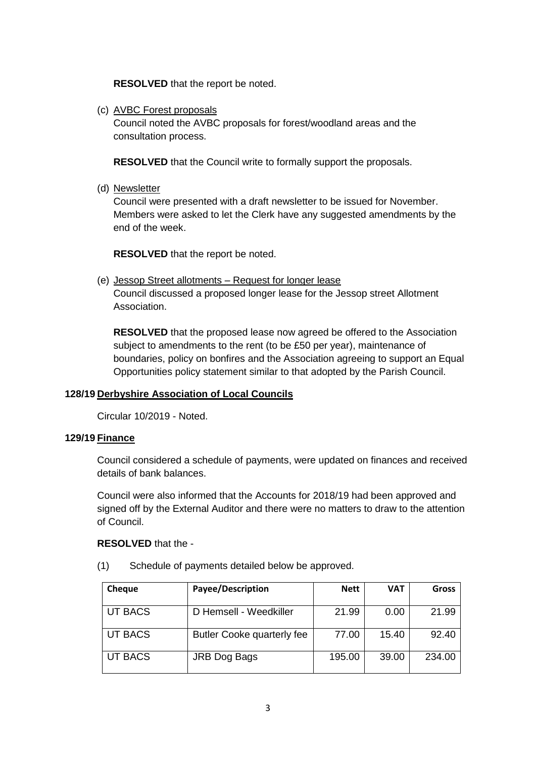**RESOLVED** that the report be noted.

(c) AVBC Forest proposals

Council noted the AVBC proposals for forest/woodland areas and the consultation process.

**RESOLVED** that the Council write to formally support the proposals.

(d) Newsletter

Council were presented with a draft newsletter to be issued for November. Members were asked to let the Clerk have any suggested amendments by the end of the week.

**RESOLVED** that the report be noted.

(e) Jessop Street allotments – Request for longer lease Council discussed a proposed longer lease for the Jessop street Allotment Association.

**RESOLVED** that the proposed lease now agreed be offered to the Association subject to amendments to the rent (to be £50 per year), maintenance of boundaries, policy on bonfires and the Association agreeing to support an Equal Opportunities policy statement similar to that adopted by the Parish Council.

# **128/19 Derbyshire Association of Local Councils**

Circular 10/2019 - Noted.

#### **129/19 Finance**

Council considered a schedule of payments, were updated on finances and received details of bank balances.

Council were also informed that the Accounts for 2018/19 had been approved and signed off by the External Auditor and there were no matters to draw to the attention of Council.

#### **RESOLVED** that the -

(1) Schedule of payments detailed below be approved.

| <b>Cheque</b> | Payee/Description          | <b>Nett</b> | <b>VAT</b> | Gross  |
|---------------|----------------------------|-------------|------------|--------|
| UT BACS       | D Hemsell - Weedkiller     | 21.99       | 0.00       | 21.99  |
| UT BACS       | Butler Cooke quarterly fee | 77.00       | 15.40      | 92.40  |
| UT BACS       | JRB Dog Bags               | 195.00      | 39.00      | 234.00 |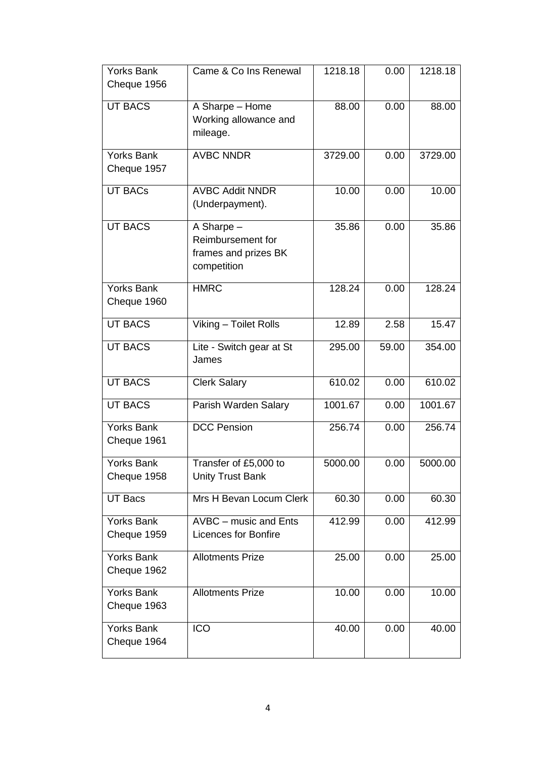| <b>Yorks Bank</b><br>Cheque 1956 | Came & Co Ins Renewal                                                  | 1218.18 | 0.00  | 1218.18 |
|----------------------------------|------------------------------------------------------------------------|---------|-------|---------|
| <b>UT BACS</b>                   | A Sharpe - Home<br>Working allowance and<br>mileage.                   | 88.00   | 0.00  | 88.00   |
| <b>Yorks Bank</b><br>Cheque 1957 | <b>AVBC NNDR</b>                                                       | 3729.00 | 0.00  | 3729.00 |
| <b>UT BACs</b>                   | <b>AVBC Addit NNDR</b><br>(Underpayment).                              | 10.00   | 0.00  | 10.00   |
| <b>UT BACS</b>                   | A Sharpe -<br>Reimbursement for<br>frames and prizes BK<br>competition | 35.86   | 0.00  | 35.86   |
| <b>Yorks Bank</b><br>Cheque 1960 | <b>HMRC</b>                                                            | 128.24  | 0.00  | 128.24  |
| <b>UT BACS</b>                   | Viking - Toilet Rolls                                                  | 12.89   | 2.58  | 15.47   |
| <b>UT BACS</b>                   | Lite - Switch gear at St<br>James                                      | 295.00  | 59.00 | 354.00  |
| <b>UT BACS</b>                   | <b>Clerk Salary</b>                                                    | 610.02  | 0.00  | 610.02  |
| <b>UT BACS</b>                   | Parish Warden Salary                                                   | 1001.67 | 0.00  | 1001.67 |
| <b>Yorks Bank</b><br>Cheque 1961 | <b>DCC Pension</b>                                                     | 256.74  | 0.00  | 256.74  |
| <b>Yorks Bank</b><br>Cheque 1958 | Transfer of £5,000 to<br><b>Unity Trust Bank</b>                       | 5000.00 | 0.00  | 5000.00 |
| UT Bacs                          | Mrs H Bevan Locum Clerk                                                | 60.30   | 0.00  | 60.30   |
| <b>Yorks Bank</b><br>Cheque 1959 | AVBC - music and Ents<br><b>Licences for Bonfire</b>                   | 412.99  | 0.00  | 412.99  |
| <b>Yorks Bank</b><br>Cheque 1962 | <b>Allotments Prize</b>                                                | 25.00   | 0.00  | 25.00   |
| <b>Yorks Bank</b><br>Cheque 1963 | <b>Allotments Prize</b>                                                | 10.00   | 0.00  | 10.00   |
| <b>Yorks Bank</b><br>Cheque 1964 | <b>ICO</b>                                                             | 40.00   | 0.00  | 40.00   |